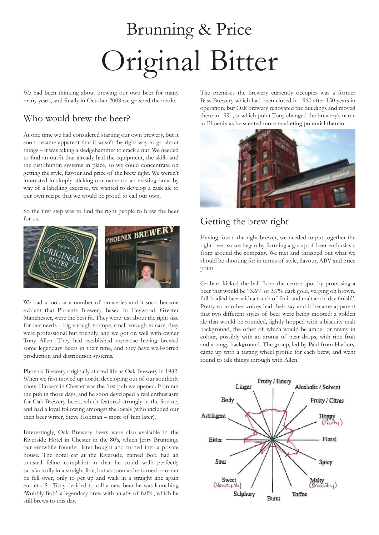# Brunning & Price Original Bitter

We had been thinking about brewing our own beer for many many years, and finally in October 2008 we grasped the nettle.

#### Who would brew the beer?

At one time we had considered starting our own brewery, but it soon became apparent that it wasn't the right way to go about things – it was taking a sledgehammer to crack a nut. We needed to find an outfit that already had the equipment, the skills and the distribution systems in place, so we could concentrate on getting the style, flavour and price of the brew right. We weren't interested in simply sticking our name on an existing brew by way of a labelling exercise, we wanted to develop a cask ale to our own recipe that we would be proud to call our own.

So the first step was to find the right people to brew the beer for us.



We had a look at a number of breweries and it soon became evident that Phoenix Brewery, based in Heywood, Greater Manchester, were the best fit. They were just about the right size for our needs – big enough to cope, small enough to care, they were professional but friendly, and we got on well with owner Tony Allen. They had established expertise having brewed some legendary beers in their time, and they have well-sorted production and distribution systems.

Phoenix Brewery originally started life as Oak Brewery in 1982. When we first moved up north, developing out of our southerly roots, Harkers in Chester was the first pub we opened. Fran ran the pub in those days, and he soon developed a real enthusiasm for Oak Brewery beers, which featured strongly in the line up, and had a loyal following amongst the locals (who included our then beer writer, Steve Hobman – more of him later).

Interestingly, Oak Brewery beers were also available in the Riverside Hotel in Chester in the 80's, which Jerry Brunning, our erstwhile founder, later bought and turned into a private house. The hotel cat at the Riverside, named Bob, had an unusual feline complaint in that he could walk perfectly satisfactorily in a straight line, but as soon as he turned a corner he fell over, only to get up and walk in a straight line again etc. etc. So Tony decided to call a new beer he was launching 'Wobbly Bob', a legendary brew with an abv of 6.0%, which he still brews to this day.

The premises the brewery currently occupies was a former Bass Brewery which had been closed in 1960 after 150 years in operation, but Oak brewery renovated the buildings and moved there in 1991, at which point Tony changed the brewery's name to Phoenix as he scented more marketing potential therein.



### Getting the brew right

Having found the right brewer, we needed to put together the right beer, so we began by forming a group of beer enthusiasts from around the company. We met and thrashed out what we should be shooting for in terms of style, flavour, ABV and price point.

Graham kicked the ball from the centre spot by proposing a beer that would be "3.6% or 3.7% dark gold, verging on brown, full-bodied beer with a touch of fruit and malt and a dry finish". Pretty soon other voices had their say and it became apparent that two different styles of beer were being mooted: a golden ale that would be rounded, lightly hopped with a biscuity malt background, the other of which would be amber or tawny in colour, possibly with an aroma of pear drops, with ripe fruit and a tangy background. The group, led by Paul from Harkers, came up with a tasting wheel profile for each brew, and went round to talk things through with Allen.